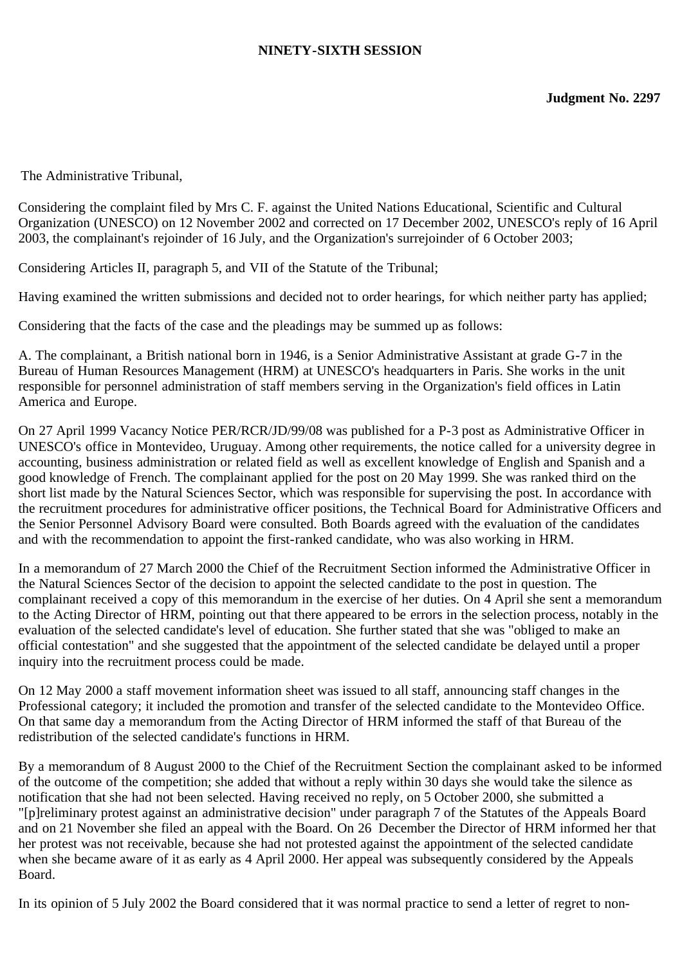## **NINETY-SIXTH SESSION**

The Administrative Tribunal,

Considering the complaint filed by Mrs C. F. against the United Nations Educational, Scientific and Cultural Organization (UNESCO) on 12 November 2002 and corrected on 17 December 2002, UNESCO's reply of 16 April 2003, the complainant's rejoinder of 16 July, and the Organization's surrejoinder of 6 October 2003;

Considering Articles II, paragraph 5, and VII of the Statute of the Tribunal;

Having examined the written submissions and decided not to order hearings, for which neither party has applied;

Considering that the facts of the case and the pleadings may be summed up as follows:

A. The complainant, a British national born in 1946, is a Senior Administrative Assistant at grade G-7 in the Bureau of Human Resources Management (HRM) at UNESCO's headquarters in Paris. She works in the unit responsible for personnel administration of staff members serving in the Organization's field offices in Latin America and Europe.

On 27 April 1999 Vacancy Notice PER/RCR/JD/99/08 was published for a P-3 post as Administrative Officer in UNESCO's office in Montevideo, Uruguay. Among other requirements, the notice called for a university degree in accounting, business administration or related field as well as excellent knowledge of English and Spanish and a good knowledge of French. The complainant applied for the post on 20 May 1999. She was ranked third on the short list made by the Natural Sciences Sector, which was responsible for supervising the post. In accordance with the recruitment procedures for administrative officer positions, the Technical Board for Administrative Officers and the Senior Personnel Advisory Board were consulted. Both Boards agreed with the evaluation of the candidates and with the recommendation to appoint the first-ranked candidate, who was also working in HRM.

In a memorandum of 27 March 2000 the Chief of the Recruitment Section informed the Administrative Officer in the Natural Sciences Sector of the decision to appoint the selected candidate to the post in question. The complainant received a copy of this memorandum in the exercise of her duties. On 4 April she sent a memorandum to the Acting Director of HRM, pointing out that there appeared to be errors in the selection process, notably in the evaluation of the selected candidate's level of education. She further stated that she was "obliged to make an official contestation" and she suggested that the appointment of the selected candidate be delayed until a proper inquiry into the recruitment process could be made.

On 12 May 2000 a staff movement information sheet was issued to all staff, announcing staff changes in the Professional category; it included the promotion and transfer of the selected candidate to the Montevideo Office. On that same day a memorandum from the Acting Director of HRM informed the staff of that Bureau of the redistribution of the selected candidate's functions in HRM.

By a memorandum of 8 August 2000 to the Chief of the Recruitment Section the complainant asked to be informed of the outcome of the competition; she added that without a reply within 30 days she would take the silence as notification that she had not been selected. Having received no reply, on 5 October 2000, she submitted a "[p]reliminary protest against an administrative decision" under paragraph 7 of the Statutes of the Appeals Board and on 21 November she filed an appeal with the Board. On 26 December the Director of HRM informed her that her protest was not receivable, because she had not protested against the appointment of the selected candidate when she became aware of it as early as 4 April 2000. Her appeal was subsequently considered by the Appeals Board.

In its opinion of 5 July 2002 the Board considered that it was normal practice to send a letter of regret to non-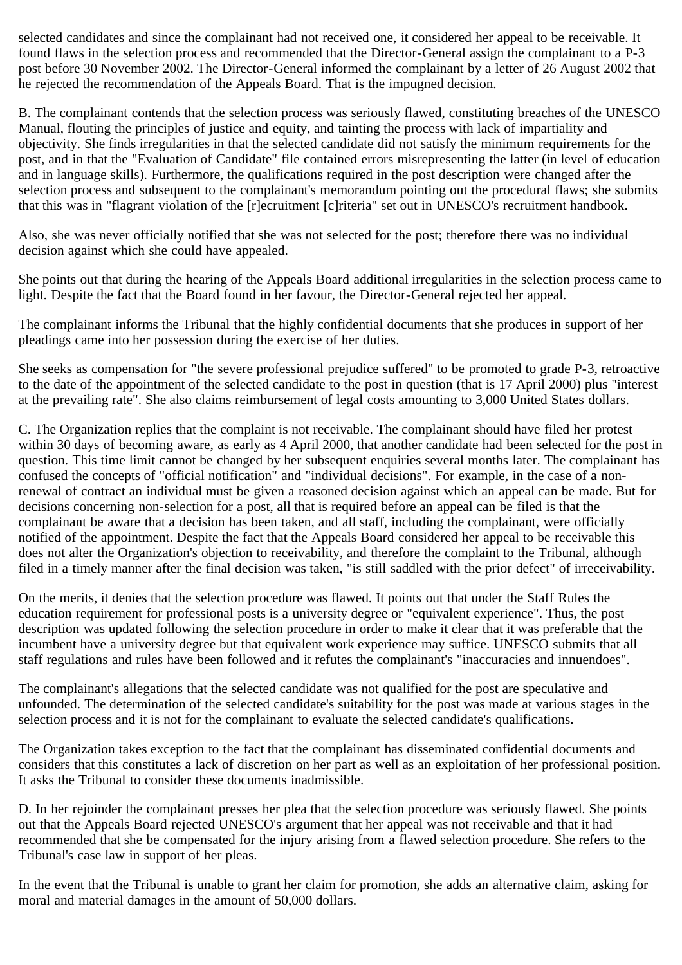selected candidates and since the complainant had not received one, it considered her appeal to be receivable. It found flaws in the selection process and recommended that the Director-General assign the complainant to a P-3 post before 30 November 2002. The Director-General informed the complainant by a letter of 26 August 2002 that he rejected the recommendation of the Appeals Board. That is the impugned decision.

B. The complainant contends that the selection process was seriously flawed, constituting breaches of the UNESCO Manual, flouting the principles of justice and equity, and tainting the process with lack of impartiality and objectivity. She finds irregularities in that the selected candidate did not satisfy the minimum requirements for the post, and in that the "Evaluation of Candidate" file contained errors misrepresenting the latter (in level of education and in language skills). Furthermore, the qualifications required in the post description were changed after the selection process and subsequent to the complainant's memorandum pointing out the procedural flaws; she submits that this was in "flagrant violation of the [r]ecruitment [c]riteria" set out in UNESCO's recruitment handbook.

Also, she was never officially notified that she was not selected for the post; therefore there was no individual decision against which she could have appealed.

She points out that during the hearing of the Appeals Board additional irregularities in the selection process came to light. Despite the fact that the Board found in her favour, the Director-General rejected her appeal.

The complainant informs the Tribunal that the highly confidential documents that she produces in support of her pleadings came into her possession during the exercise of her duties.

She seeks as compensation for "the severe professional prejudice suffered" to be promoted to grade P-3, retroactive to the date of the appointment of the selected candidate to the post in question (that is 17 April 2000) plus "interest at the prevailing rate". She also claims reimbursement of legal costs amounting to 3,000 United States dollars.

C. The Organization replies that the complaint is not receivable. The complainant should have filed her protest within 30 days of becoming aware, as early as 4 April 2000, that another candidate had been selected for the post in question. This time limit cannot be changed by her subsequent enquiries several months later. The complainant has confused the concepts of "official notification" and "individual decisions". For example, in the case of a nonrenewal of contract an individual must be given a reasoned decision against which an appeal can be made. But for decisions concerning non-selection for a post, all that is required before an appeal can be filed is that the complainant be aware that a decision has been taken, and all staff, including the complainant, were officially notified of the appointment. Despite the fact that the Appeals Board considered her appeal to be receivable this does not alter the Organization's objection to receivability, and therefore the complaint to the Tribunal, although filed in a timely manner after the final decision was taken, "is still saddled with the prior defect" of irreceivability.

On the merits, it denies that the selection procedure was flawed. It points out that under the Staff Rules the education requirement for professional posts is a university degree or "equivalent experience". Thus, the post description was updated following the selection procedure in order to make it clear that it was preferable that the incumbent have a university degree but that equivalent work experience may suffice. UNESCO submits that all staff regulations and rules have been followed and it refutes the complainant's "inaccuracies and innuendoes".

The complainant's allegations that the selected candidate was not qualified for the post are speculative and unfounded. The determination of the selected candidate's suitability for the post was made at various stages in the selection process and it is not for the complainant to evaluate the selected candidate's qualifications.

The Organization takes exception to the fact that the complainant has disseminated confidential documents and considers that this constitutes a lack of discretion on her part as well as an exploitation of her professional position. It asks the Tribunal to consider these documents inadmissible.

D. In her rejoinder the complainant presses her plea that the selection procedure was seriously flawed. She points out that the Appeals Board rejected UNESCO's argument that her appeal was not receivable and that it had recommended that she be compensated for the injury arising from a flawed selection procedure. She refers to the Tribunal's case law in support of her pleas.

In the event that the Tribunal is unable to grant her claim for promotion, she adds an alternative claim, asking for moral and material damages in the amount of 50,000 dollars.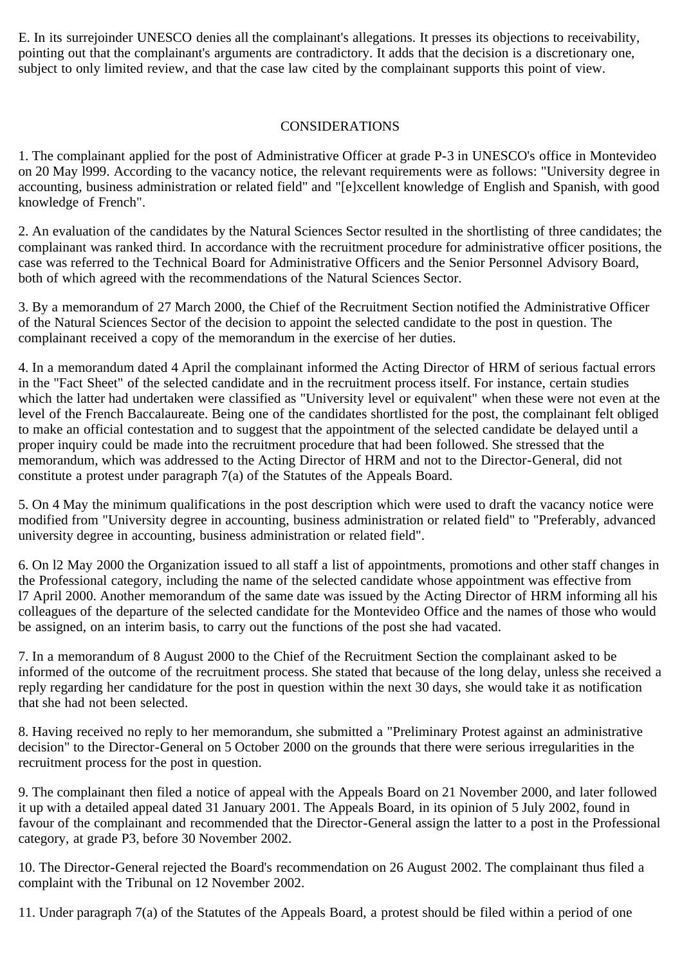E. In its surrejoinder UNESCO denies all the complainant's allegations. It presses its objections to receivability, pointing out that the complainant's arguments are contradictory. It adds that the decision is a discretionary one, subject to only limited review, and that the case law cited by the complainant supports this point of view.

## CONSIDERATIONS

1. The complainant applied for the post of Administrative Officer at grade P-3 in UNESCO's office in Montevideo on 20 May l999. According to the vacancy notice, the relevant requirements were as follows: "University degree in accounting, business administration or related field" and "[e]xcellent knowledge of English and Spanish, with good knowledge of French".

2. An evaluation of the candidates by the Natural Sciences Sector resulted in the shortlisting of three candidates; the complainant was ranked third. In accordance with the recruitment procedure for administrative officer positions, the case was referred to the Technical Board for Administrative Officers and the Senior Personnel Advisory Board, both of which agreed with the recommendations of the Natural Sciences Sector.

3. By a memorandum of 27 March 2000, the Chief of the Recruitment Section notified the Administrative Officer of the Natural Sciences Sector of the decision to appoint the selected candidate to the post in question. The complainant received a copy of the memorandum in the exercise of her duties.

4. In a memorandum dated 4 April the complainant informed the Acting Director of HRM of serious factual errors in the "Fact Sheet" of the selected candidate and in the recruitment process itself. For instance, certain studies which the latter had undertaken were classified as "University level or equivalent" when these were not even at the level of the French Baccalaureate. Being one of the candidates shortlisted for the post, the complainant felt obliged to make an official contestation and to suggest that the appointment of the selected candidate be delayed until a proper inquiry could be made into the recruitment procedure that had been followed. She stressed that the memorandum, which was addressed to the Acting Director of HRM and not to the Director-General, did not constitute a protest under paragraph 7(a) of the Statutes of the Appeals Board.

5. On 4 May the minimum qualifications in the post description which were used to draft the vacancy notice were modified from "University degree in accounting, business administration or related field" to "Preferably, advanced university degree in accounting, business administration or related field".

6. On l2 May 2000 the Organization issued to all staff a list of appointments, promotions and other staff changes in the Professional category, including the name of the selected candidate whose appointment was effective from l7 April 2000. Another memorandum of the same date was issued by the Acting Director of HRM informing all his colleagues of the departure of the selected candidate for the Montevideo Office and the names of those who would be assigned, on an interim basis, to carry out the functions of the post she had vacated.

7. In a memorandum of 8 August 2000 to the Chief of the Recruitment Section the complainant asked to be informed of the outcome of the recruitment process. She stated that because of the long delay, unless she received a reply regarding her candidature for the post in question within the next 30 days, she would take it as notification that she had not been selected.

8. Having received no reply to her memorandum, she submitted a "Preliminary Protest against an administrative decision" to the Director-General on 5 October 2000 on the grounds that there were serious irregularities in the recruitment process for the post in question.

9. The complainant then filed a notice of appeal with the Appeals Board on 21 November 2000, and later followed it up with a detailed appeal dated 31 January 2001. The Appeals Board, in its opinion of 5 July 2002, found in favour of the complainant and recommended that the Director-General assign the latter to a post in the Professional category, at grade P3, before 30 November 2002.

10. The Director-General rejected the Board's recommendation on 26 August 2002. The complainant thus filed a complaint with the Tribunal on 12 November 2002.

11. Under paragraph 7(a) of the Statutes of the Appeals Board, a protest should be filed within a period of one